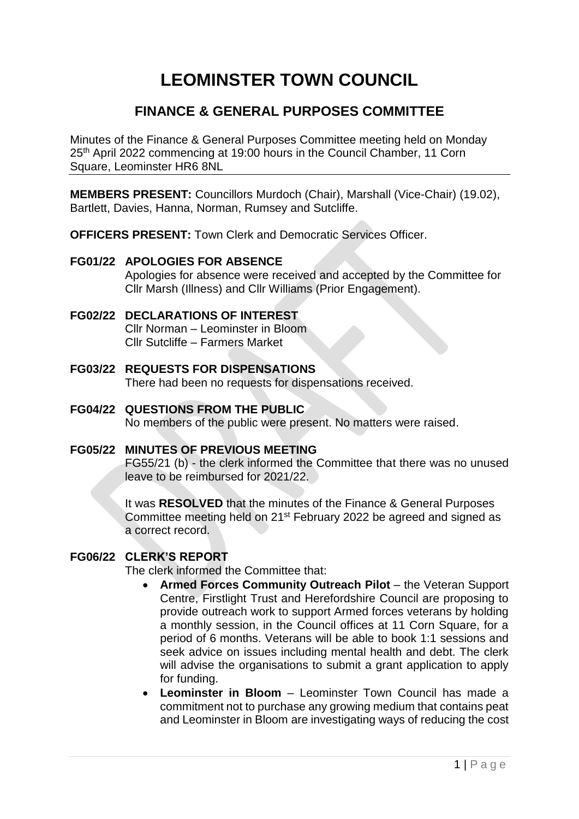# **LEOMINSTER TOWN COUNCIL**

# **FINANCE & GENERAL PURPOSES COMMITTEE**

Minutes of the Finance & General Purposes Committee meeting held on Monday 25th April 2022 commencing at 19:00 hours in the Council Chamber, 11 Corn Square, Leominster HR6 8NL

**MEMBERS PRESENT:** Councillors Murdoch (Chair), Marshall (Vice-Chair) (19.02), Bartlett, Davies, Hanna, Norman, Rumsey and Sutcliffe.

**OFFICERS PRESENT:** Town Clerk and Democratic Services Officer.

#### **FG01/22 APOLOGIES FOR ABSENCE**

Apologies for absence were received and accepted by the Committee for Cllr Marsh (Illness) and Cllr Williams (Prior Engagement).

# **FG02/22 DECLARATIONS OF INTEREST**

Cllr Norman – Leominster in Bloom Cllr Sutcliffe – Farmers Market

- **FG03/22 REQUESTS FOR DISPENSATIONS** There had been no requests for dispensations received.
- **FG04/22 QUESTIONS FROM THE PUBLIC** No members of the public were present. No matters were raised.

# **FG05/22 MINUTES OF PREVIOUS MEETING**

FG55/21 (b) - the clerk informed the Committee that there was no unused leave to be reimbursed for 2021/22.

It was **RESOLVED** that the minutes of the Finance & General Purposes Committee meeting held on 21<sup>st</sup> February 2022 be agreed and signed as a correct record.

# **FG06/22 CLERK'S REPORT**

The clerk informed the Committee that:

- **Armed Forces Community Outreach Pilot** the Veteran Support Centre, Firstlight Trust and Herefordshire Council are proposing to provide outreach work to support Armed forces veterans by holding a monthly session, in the Council offices at 11 Corn Square, for a period of 6 months. Veterans will be able to book 1:1 sessions and seek advice on issues including mental health and debt. The clerk will advise the organisations to submit a grant application to apply for funding.
- **Leominster in Bloom**  Leominster Town Council has made a commitment not to purchase any growing medium that contains peat and Leominster in Bloom are investigating ways of reducing the cost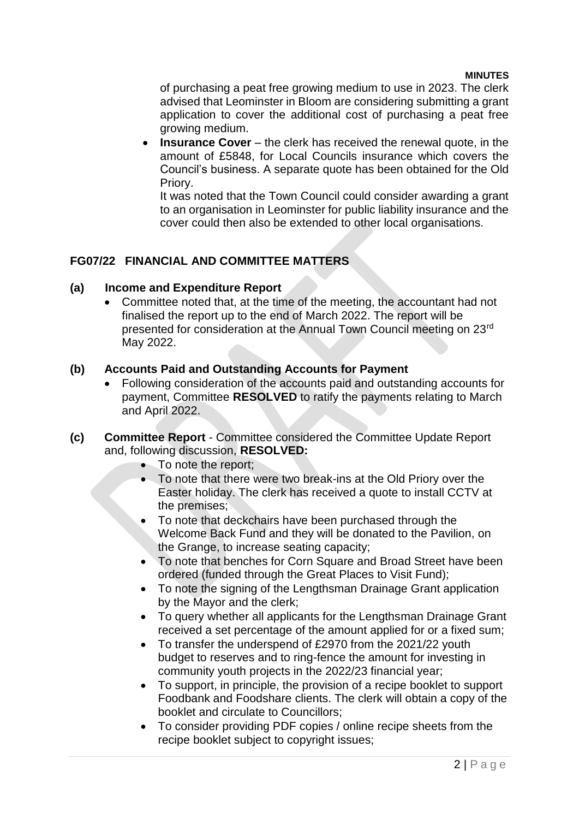#### **MINUTES**

of purchasing a peat free growing medium to use in 2023. The clerk advised that Leominster in Bloom are considering submitting a grant application to cover the additional cost of purchasing a peat free growing medium.

**Insurance Cover** – the clerk has received the renewal quote, in the amount of £5848, for Local Councils insurance which covers the Council's business. A separate quote has been obtained for the Old Priory.

It was noted that the Town Council could consider awarding a grant to an organisation in Leominster for public liability insurance and the cover could then also be extended to other local organisations.

#### **FG07/22 FINANCIAL AND COMMITTEE MATTERS**

#### **(a) Income and Expenditure Report**

 Committee noted that, at the time of the meeting, the accountant had not finalised the report up to the end of March 2022. The report will be presented for consideration at the Annual Town Council meeting on 23rd May 2022.

#### **(b) Accounts Paid and Outstanding Accounts for Payment**

- Following consideration of the accounts paid and outstanding accounts for payment, Committee **RESOLVED** to ratify the payments relating to March and April 2022.
- **(c) Committee Report** Committee considered the Committee Update Report and, following discussion, **RESOLVED:**
	- To note the report;
	- To note that there were two break-ins at the Old Priory over the Easter holiday. The clerk has received a quote to install CCTV at the premises;
	- To note that deckchairs have been purchased through the Welcome Back Fund and they will be donated to the Pavilion, on the Grange, to increase seating capacity;
	- To note that benches for Corn Square and Broad Street have been ordered (funded through the Great Places to Visit Fund);
	- To note the signing of the Lengthsman Drainage Grant application by the Mayor and the clerk;
	- To query whether all applicants for the Lengthsman Drainage Grant received a set percentage of the amount applied for or a fixed sum;
	- To transfer the underspend of £2970 from the 2021/22 youth budget to reserves and to ring-fence the amount for investing in community youth projects in the 2022/23 financial year;
	- To support, in principle, the provision of a recipe booklet to support Foodbank and Foodshare clients. The clerk will obtain a copy of the booklet and circulate to Councillors;
	- To consider providing PDF copies / online recipe sheets from the recipe booklet subject to copyright issues;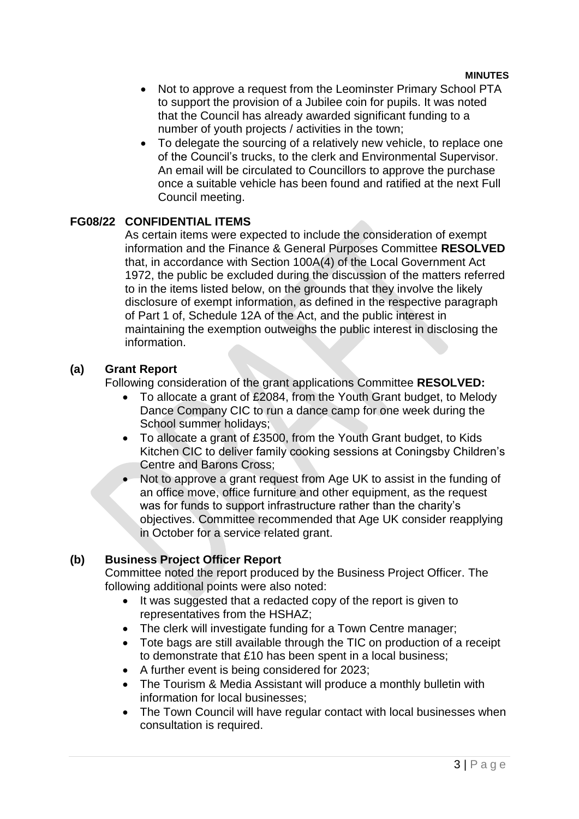- Not to approve a request from the Leominster Primary School PTA to support the provision of a Jubilee coin for pupils. It was noted that the Council has already awarded significant funding to a number of youth projects / activities in the town;
- To delegate the sourcing of a relatively new vehicle, to replace one of the Council's trucks, to the clerk and Environmental Supervisor. An email will be circulated to Councillors to approve the purchase once a suitable vehicle has been found and ratified at the next Full Council meeting.

#### **FG08/22 CONFIDENTIAL ITEMS**

As certain items were expected to include the consideration of exempt information and the Finance & General Purposes Committee **RESOLVED**  that, in accordance with Section 100A(4) of the Local Government Act 1972, the public be excluded during the discussion of the matters referred to in the items listed below, on the grounds that they involve the likely disclosure of exempt information, as defined in the respective paragraph of Part 1 of, Schedule 12A of the Act, and the public interest in maintaining the exemption outweighs the public interest in disclosing the information.

#### **(a) Grant Report**

Following consideration of the grant applications Committee **RESOLVED:**

- To allocate a grant of £2084, from the Youth Grant budget, to Melody Dance Company CIC to run a dance camp for one week during the School summer holidays;
- To allocate a grant of £3500, from the Youth Grant budget, to Kids Kitchen CIC to deliver family cooking sessions at Coningsby Children's Centre and Barons Cross;
- Not to approve a grant request from Age UK to assist in the funding of an office move, office furniture and other equipment, as the request was for funds to support infrastructure rather than the charity's objectives. Committee recommended that Age UK consider reapplying in October for a service related grant.

# **(b) Business Project Officer Report**

Committee noted the report produced by the Business Project Officer. The following additional points were also noted:

- It was suggested that a redacted copy of the report is given to representatives from the HSHAZ;
- The clerk will investigate funding for a Town Centre manager;
- Tote bags are still available through the TIC on production of a receipt to demonstrate that £10 has been spent in a local business;
- A further event is being considered for 2023;
- The Tourism & Media Assistant will produce a monthly bulletin with information for local businesses;
- The Town Council will have regular contact with local businesses when consultation is required.